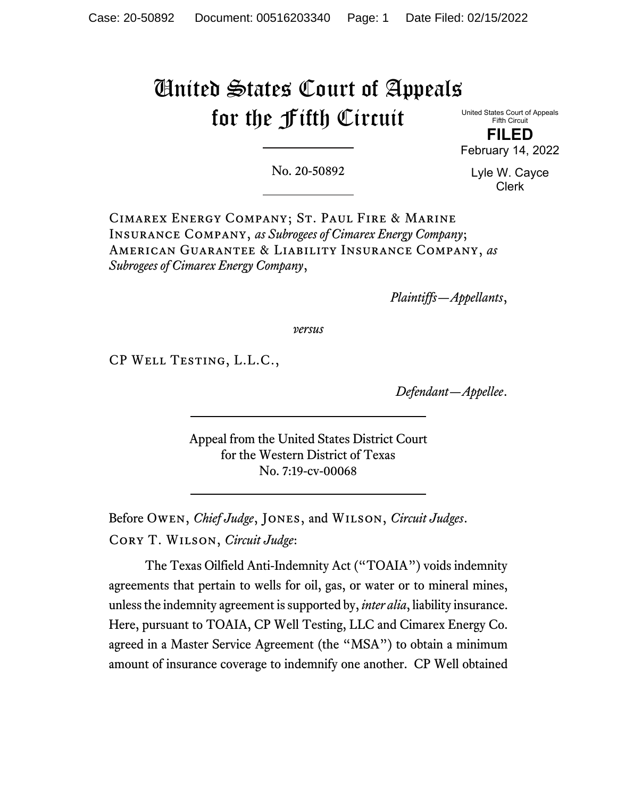# United States Court of Appeals for the Fifth Circuit

United States Court of Appeals Fifth Circuit

**FILED**  February 14, 2022

No. 20-50892

Lyle W. Cayce Clerk

Cimarex Energy Company; St. Paul Fire & Marine Insurance Company, *as Subrogees of Cimarex Energy Company*; American Guarantee & Liability Insurance Company, *as Subrogees of Cimarex Energy Company*,

*Plaintiffs—Appellants*,

*versus*

CP Well Testing, L.L.C.,

*Defendant—Appellee*.

Appeal from the United States District Court for the Western District of Texas No. 7:19-cv-00068

Before Owen, *Chief Judge*, Jones, and Wilson, *Circuit Judges*. Cory T. Wilson, *Circuit Judge*:

The Texas Oilfield Anti-Indemnity Act ("TOAIA") voids indemnity agreements that pertain to wells for oil, gas, or water or to mineral mines, unless the indemnity agreement is supported by, *inter alia*, liability insurance. Here, pursuant to TOAIA, CP Well Testing, LLC and Cimarex Energy Co. agreed in a Master Service Agreement (the "MSA") to obtain a minimum amount of insurance coverage to indemnify one another. CP Well obtained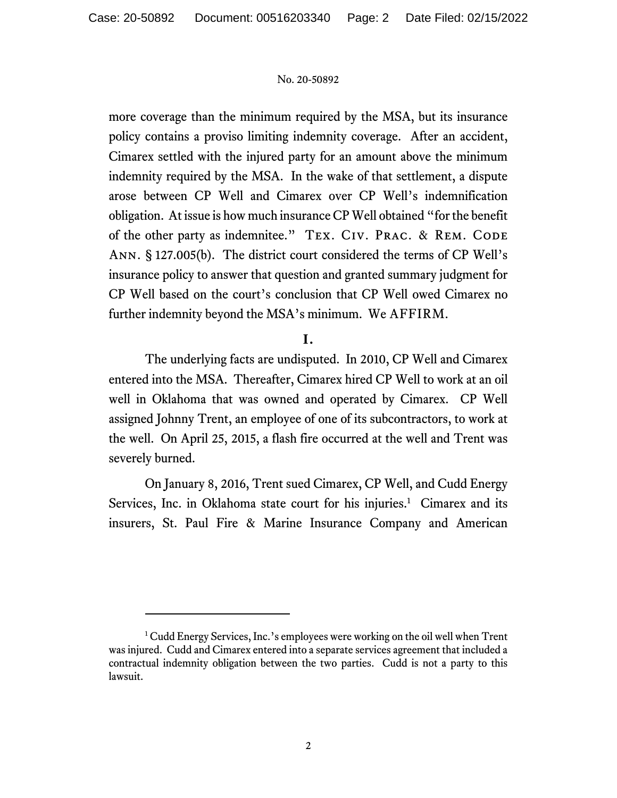more coverage than the minimum required by the MSA, but its insurance policy contains a proviso limiting indemnity coverage. After an accident, Cimarex settled with the injured party for an amount above the minimum indemnity required by the MSA. In the wake of that settlement, a dispute arose between CP Well and Cimarex over CP Well's indemnification obligation. At issue is how much insurance CP Well obtained "for the benefit of the other party as indemnitee." TEX. CIV. PRAC. & REM. CODE Ann. § 127.005(b). The district court considered the terms of CP Well's insurance policy to answer that question and granted summary judgment for CP Well based on the court's conclusion that CP Well owed Cimarex no further indemnity beyond the MSA's minimum. We AFFIRM.

# **I.**

The underlying facts are undisputed. In 2010, CP Well and Cimarex entered into the MSA. Thereafter, Cimarex hired CP Well to work at an oil well in Oklahoma that was owned and operated by Cimarex. CP Well assigned Johnny Trent, an employee of one of its subcontractors, to work at the well. On April 25, 2015, a flash fire occurred at the well and Trent was severely burned.

On January 8, 2016, Trent sued Cimarex, CP Well, and Cudd Energy Services, Inc. in Oklahoma state court for his injuries.<sup>1</sup> Cimarex and its insurers, St. Paul Fire & Marine Insurance Company and American

<sup>&</sup>lt;sup>1</sup> Cudd Energy Services, Inc.'s employees were working on the oil well when Trent was injured. Cudd and Cimarex entered into a separate services agreement that included a contractual indemnity obligation between the two parties. Cudd is not a party to this lawsuit.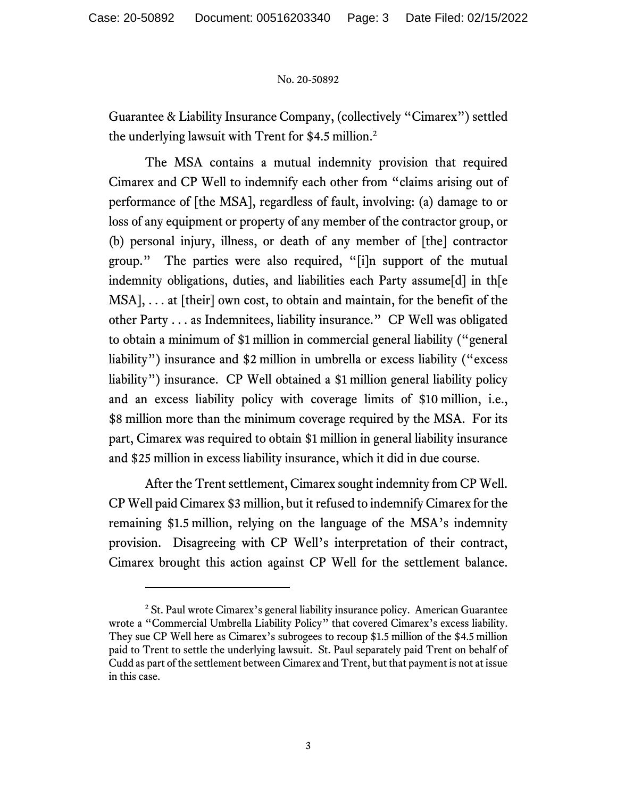Guarantee & Liability Insurance Company, (collectively "Cimarex") settled the underlying lawsuit with Trent for \$4.5 million.<sup>2</sup>

The MSA contains a mutual indemnity provision that required Cimarex and CP Well to indemnify each other from "claims arising out of performance of [the MSA], regardless of fault, involving: (a) damage to or loss of any equipment or property of any member of the contractor group, or (b) personal injury, illness, or death of any member of [the] contractor group." The parties were also required, "[i]n support of the mutual indemnity obligations, duties, and liabilities each Party assume[d] in th[e MSA], . . . at [their] own cost, to obtain and maintain, for the benefit of the other Party . . . as Indemnitees, liability insurance." CP Well was obligated to obtain a minimum of \$1 million in commercial general liability ("general liability") insurance and \$2 million in umbrella or excess liability ("excess liability") insurance. CP Well obtained a \$1 million general liability policy and an excess liability policy with coverage limits of \$10 million, i.e., \$8 million more than the minimum coverage required by the MSA. For its part, Cimarex was required to obtain \$1 million in general liability insurance and \$25 million in excess liability insurance, which it did in due course.

After the Trent settlement, Cimarex sought indemnity from CP Well. CP Well paid Cimarex \$3 million, but it refused to indemnify Cimarex for the remaining \$1.5 million, relying on the language of the MSA's indemnity provision. Disagreeing with CP Well's interpretation of their contract, Cimarex brought this action against CP Well for the settlement balance.

<sup>&</sup>lt;sup>2</sup> St. Paul wrote Cimarex's general liability insurance policy. American Guarantee wrote a "Commercial Umbrella Liability Policy" that covered Cimarex's excess liability. They sue CP Well here as Cimarex's subrogees to recoup \$1.5 million of the \$4.5 million paid to Trent to settle the underlying lawsuit. St. Paul separately paid Trent on behalf of Cudd as part of the settlement between Cimarex and Trent, but that payment is not at issue in this case.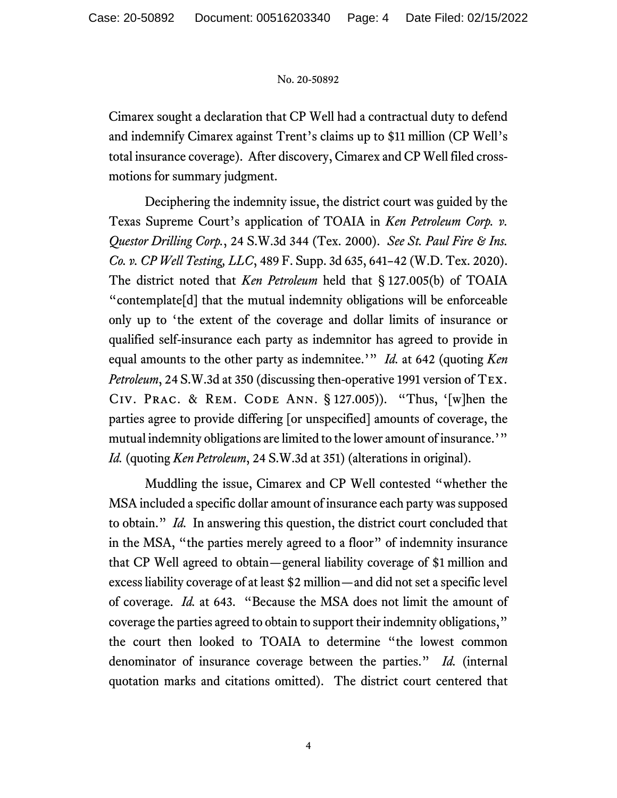Cimarex sought a declaration that CP Well had a contractual duty to defend and indemnify Cimarex against Trent's claims up to \$11 million (CP Well's total insurance coverage). After discovery, Cimarex and CP Well filed crossmotions for summary judgment.

Deciphering the indemnity issue, the district court was guided by the Texas Supreme Court's application of TOAIA in *Ken Petroleum Corp. v. Questor Drilling Corp.*, 24 S.W.3d 344 (Tex. 2000). *See St. Paul Fire & Ins. Co. v. CP Well Testing, LLC*, 489 F. Supp. 3d 635, 641–42 (W.D. Tex. 2020). The district noted that *Ken Petroleum* held that § 127.005(b) of TOAIA "contemplate[d] that the mutual indemnity obligations will be enforceable only up to 'the extent of the coverage and dollar limits of insurance or qualified self-insurance each party as indemnitor has agreed to provide in equal amounts to the other party as indemnitee.'" *Id.* at 642 (quoting *Ken Petroleum*, 24 S.W.3d at 350 (discussing then-operative 1991 version of Tex. CIV. PRAC. & REM. CODE ANN.  $\S$  127.005)). "Thus, '[w]hen the parties agree to provide differing [or unspecified] amounts of coverage, the mutual indemnity obligations are limited to the lower amount of insurance.'" *Id.* (quoting *Ken Petroleum*, 24 S.W.3d at 351) (alterations in original).

Muddling the issue, Cimarex and CP Well contested "whether the MSA included a specific dollar amount of insurance each party was supposed to obtain." *Id.* In answering this question, the district court concluded that in the MSA, "the parties merely agreed to a floor" of indemnity insurance that CP Well agreed to obtain—general liability coverage of \$1 million and excess liability coverage of at least \$2 million—and did not set a specific level of coverage. *Id.* at 643. "Because the MSA does not limit the amount of coverage the parties agreed to obtain to support their indemnity obligations," the court then looked to TOAIA to determine "the lowest common denominator of insurance coverage between the parties." *Id.* (internal quotation marks and citations omitted). The district court centered that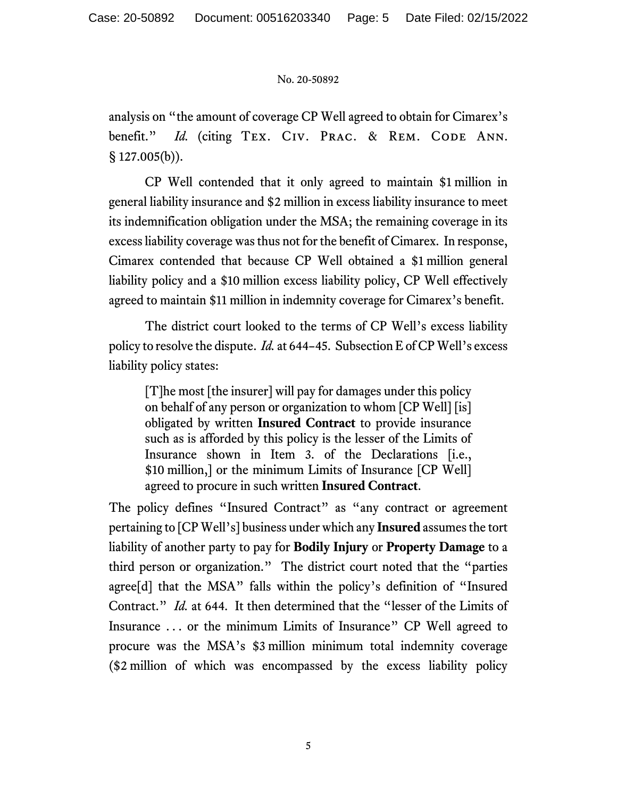analysis on "the amount of coverage CP Well agreed to obtain for Cimarex's benefit." *Id.* (citing TEX. CIV. PRAC. & REM. CODE ANN.  $§ 127.005(b)).$ 

CP Well contended that it only agreed to maintain \$1 million in general liability insurance and \$2 million in excess liability insurance to meet its indemnification obligation under the MSA; the remaining coverage in its excess liability coverage was thus not for the benefit of Cimarex. In response, Cimarex contended that because CP Well obtained a \$1 million general liability policy and a \$10 million excess liability policy, CP Well effectively agreed to maintain \$11 million in indemnity coverage for Cimarex's benefit.

The district court looked to the terms of CP Well's excess liability policy to resolve the dispute. *Id.* at 644–45. Subsection E of CP Well's excess liability policy states:

[T]he most [the insurer] will pay for damages under this policy on behalf of any person or organization to whom [CP Well] [is] obligated by written **Insured Contract** to provide insurance such as is afforded by this policy is the lesser of the Limits of Insurance shown in Item 3. of the Declarations [i.e., \$10 million,] or the minimum Limits of Insurance [CP Well] agreed to procure in such written **Insured Contract**.

The policy defines "Insured Contract" as "any contract or agreement pertaining to [CP Well's] business under which any **Insured** assumes the tort liability of another party to pay for **Bodily Injury** or **Property Damage** to a third person or organization." The district court noted that the "parties agree[d] that the MSA" falls within the policy's definition of "Insured Contract." *Id.* at 644. It then determined that the "lesser of the Limits of Insurance . . . or the minimum Limits of Insurance" CP Well agreed to procure was the MSA's \$3 million minimum total indemnity coverage (\$2 million of which was encompassed by the excess liability policy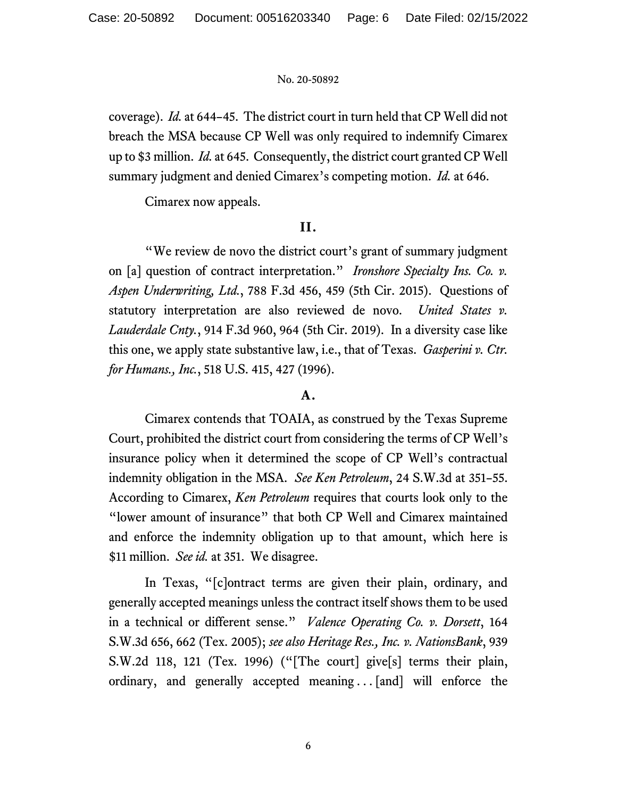coverage). *Id.* at 644–45. The district court in turn held that CP Well did not breach the MSA because CP Well was only required to indemnify Cimarex up to \$3 million. *Id.* at 645. Consequently, the district court granted CP Well summary judgment and denied Cimarex's competing motion. *Id.* at 646.

Cimarex now appeals.

## **II.**

 "We review de novo the district court's grant of summary judgment on [a] question of contract interpretation." *Ironshore Specialty Ins. Co. v. Aspen Underwriting, Ltd.*, 788 F.3d 456, 459 (5th Cir. 2015). Questions of statutory interpretation are also reviewed de novo. *United States v. Lauderdale Cnty.*, 914 F.3d 960, 964 (5th Cir. 2019). In a diversity case like this one, we apply state substantive law, i.e., that of Texas. *Gasperini v. Ctr. for Humans., Inc.*, 518 U.S. 415, 427 (1996).

## **A.**

Cimarex contends that TOAIA, as construed by the Texas Supreme Court, prohibited the district court from considering the terms of CP Well's insurance policy when it determined the scope of CP Well's contractual indemnity obligation in the MSA. *See Ken Petroleum*, 24 S.W.3d at 351–55. According to Cimarex, *Ken Petroleum* requires that courts look only to the "lower amount of insurance" that both CP Well and Cimarex maintained and enforce the indemnity obligation up to that amount, which here is \$11 million. *See id.* at 351. We disagree.

In Texas, "[c]ontract terms are given their plain, ordinary, and generally accepted meanings unless the contract itself shows them to be used in a technical or different sense." *Valence Operating Co. v. Dorsett*, 164 S.W.3d 656, 662 (Tex. 2005); *see also Heritage Res., Inc. v. NationsBank*, 939 S.W.2d 118, 121 (Tex. 1996) ("[The court] give[s] terms their plain, ordinary, and generally accepted meaning ... [and] will enforce the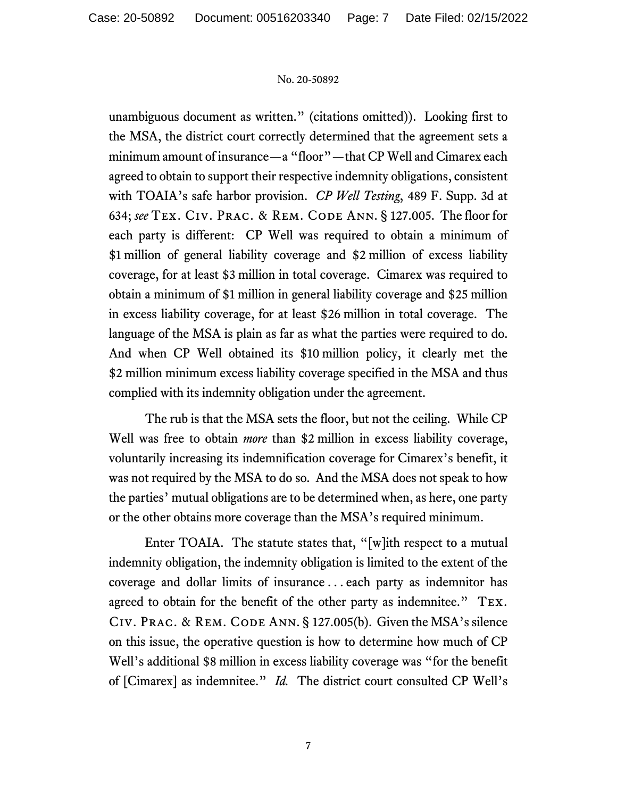unambiguous document as written." (citations omitted)). Looking first to the MSA, the district court correctly determined that the agreement sets a minimum amount of insurance—a "floor"—that CP Well and Cimarex each agreed to obtain to support their respective indemnity obligations, consistent with TOAIA's safe harbor provision. *CP Well Testing*, 489 F. Supp. 3d at 634; *see* Tex. Civ. Prac. & Rem. Code Ann. § 127.005. The floor for each party is different: CP Well was required to obtain a minimum of \$1 million of general liability coverage and \$2 million of excess liability coverage, for at least \$3 million in total coverage. Cimarex was required to obtain a minimum of \$1 million in general liability coverage and \$25 million in excess liability coverage, for at least \$26 million in total coverage. The language of the MSA is plain as far as what the parties were required to do. And when CP Well obtained its \$10 million policy, it clearly met the \$2 million minimum excess liability coverage specified in the MSA and thus complied with its indemnity obligation under the agreement.

 The rub is that the MSA sets the floor, but not the ceiling. While CP Well was free to obtain *more* than \$2 million in excess liability coverage, voluntarily increasing its indemnification coverage for Cimarex's benefit, it was not required by the MSA to do so. And the MSA does not speak to how the parties' mutual obligations are to be determined when, as here, one party or the other obtains more coverage than the MSA's required minimum.

 Enter TOAIA. The statute states that, "[w]ith respect to a mutual indemnity obligation, the indemnity obligation is limited to the extent of the coverage and dollar limits of insurance . . . each party as indemnitor has agreed to obtain for the benefit of the other party as indemnitee." Tex. Civ. Prac. & Rem. Code Ann. § 127.005(b). Given the MSA's silence on this issue, the operative question is how to determine how much of CP Well's additional \$8 million in excess liability coverage was "for the benefit of [Cimarex] as indemnitee." *Id.* The district court consulted CP Well's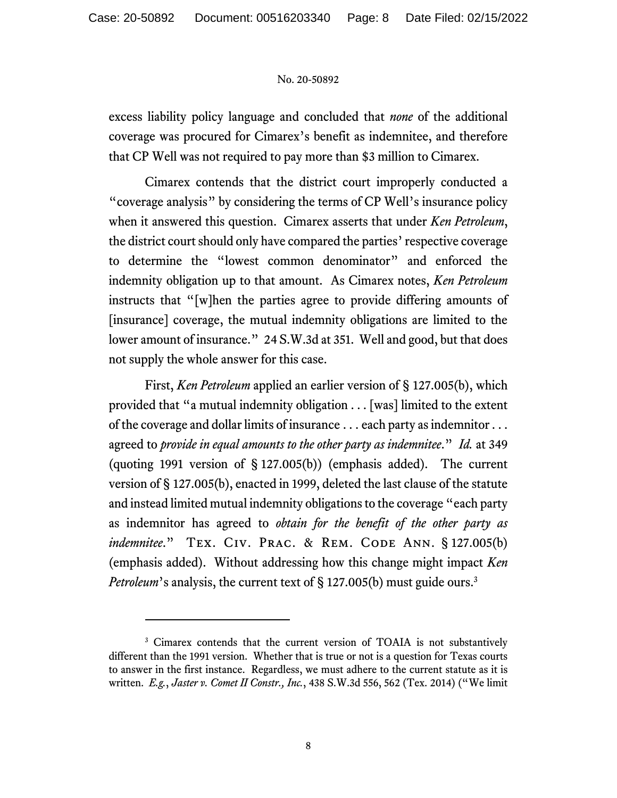excess liability policy language and concluded that *none* of the additional coverage was procured for Cimarex's benefit as indemnitee, and therefore that CP Well was not required to pay more than \$3 million to Cimarex.

Cimarex contends that the district court improperly conducted a "coverage analysis" by considering the terms of CP Well's insurance policy when it answered this question. Cimarex asserts that under *Ken Petroleum*, the district court should only have compared the parties' respective coverage to determine the "lowest common denominator" and enforced the indemnity obligation up to that amount. As Cimarex notes, *Ken Petroleum* instructs that "[w]hen the parties agree to provide differing amounts of [insurance] coverage, the mutual indemnity obligations are limited to the lower amount of insurance." 24 S.W.3d at 351. Well and good, but that does not supply the whole answer for this case.

First, *Ken Petroleum* applied an earlier version of § 127.005(b), which provided that "a mutual indemnity obligation . . . [was] limited to the extent of the coverage and dollar limits of insurance . . . each party as indemnitor . . . agreed to *provide in equal amounts to the other party as indemnitee*." *Id.* at 349 (quoting 1991 version of § 127.005(b)) (emphasis added). The current version of § 127.005(b), enacted in 1999, deleted the last clause of the statute and instead limited mutual indemnity obligations to the coverage "each party as indemnitor has agreed to *obtain for the benefit of the other party as indemnitee.*" TEX. CIV. PRAC. & REM. CODE ANN. § 127.005(b) (emphasis added). Without addressing how this change might impact *Ken Petroleum*'s analysis, the current text of § 127.005(b) must guide ours.<sup>3</sup>

<sup>&</sup>lt;sup>3</sup> Cimarex contends that the current version of TOAIA is not substantively different than the 1991 version. Whether that is true or not is a question for Texas courts to answer in the first instance. Regardless, we must adhere to the current statute as it is written. *E.g.*, *Jaster v. Comet II Constr., Inc.*, 438 S.W.3d 556, 562 (Tex. 2014) ("We limit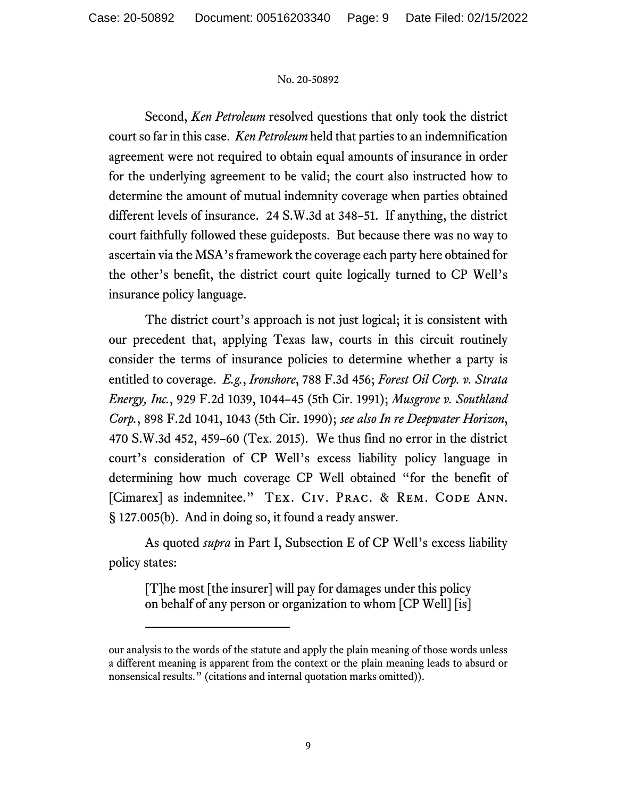Second, *Ken Petroleum* resolved questions that only took the district court so far in this case. *Ken Petroleum* held that parties to an indemnification agreement were not required to obtain equal amounts of insurance in order for the underlying agreement to be valid; the court also instructed how to determine the amount of mutual indemnity coverage when parties obtained different levels of insurance. 24 S.W.3d at 348–51. If anything, the district court faithfully followed these guideposts. But because there was no way to ascertain via the MSA's framework the coverage each party here obtained for the other's benefit, the district court quite logically turned to CP Well's insurance policy language.

The district court's approach is not just logical; it is consistent with our precedent that, applying Texas law, courts in this circuit routinely consider the terms of insurance policies to determine whether a party is entitled to coverage. *E.g.*, *Ironshore*, 788 F.3d 456; *Forest Oil Corp. v. Strata Energy, Inc.*, 929 F.2d 1039, 1044–45 (5th Cir. 1991); *Musgrove v. Southland Corp.*, 898 F.2d 1041, 1043 (5th Cir. 1990); *see also In re Deepwater Horizon*, 470 S.W.3d 452, 459–60 (Tex. 2015). We thus find no error in the district court's consideration of CP Well's excess liability policy language in determining how much coverage CP Well obtained "for the benefit of [Cimarex] as indemnitee." TEX. CIV. PRAC. & REM. CODE ANN. § 127.005(b). And in doing so, it found a ready answer.

As quoted *supra* in Part I, Subsection E of CP Well's excess liability policy states:

[T]he most [the insurer] will pay for damages under this policy on behalf of any person or organization to whom [CP Well] [is]

our analysis to the words of the statute and apply the plain meaning of those words unless a different meaning is apparent from the context or the plain meaning leads to absurd or nonsensical results." (citations and internal quotation marks omitted)).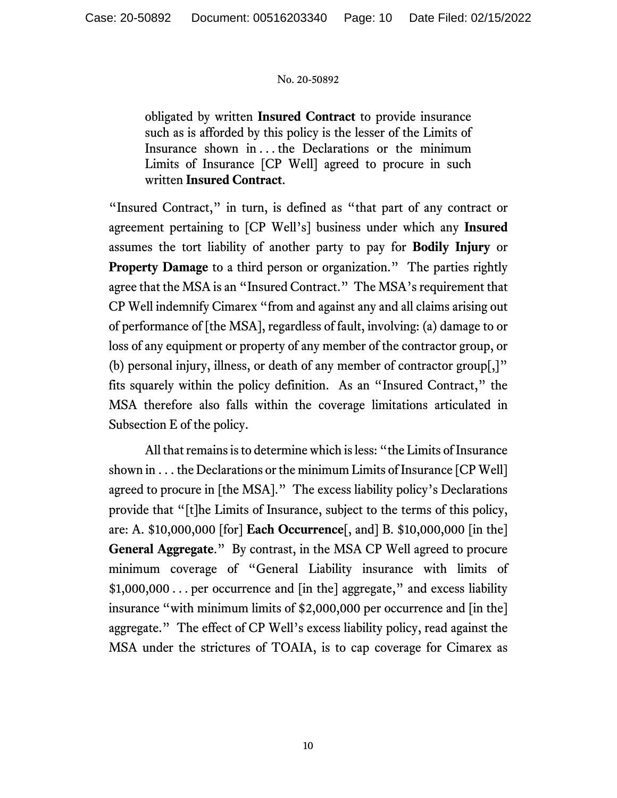obligated by written **Insured Contract** to provide insurance such as is afforded by this policy is the lesser of the Limits of Insurance shown in . . . the Declarations or the minimum Limits of Insurance [CP Well] agreed to procure in such written **Insured Contract**.

"Insured Contract," in turn, is defined as "that part of any contract or agreement pertaining to [CP Well's] business under which any **Insured** assumes the tort liability of another party to pay for **Bodily Injury** or **Property Damage** to a third person or organization." The parties rightly agree that the MSA is an "Insured Contract." The MSA's requirement that CP Well indemnify Cimarex "from and against any and all claims arising out of performance of [the MSA], regardless of fault, involving: (a) damage to or loss of any equipment or property of any member of the contractor group, or (b) personal injury, illness, or death of any member of contractor group[,]" fits squarely within the policy definition. As an "Insured Contract," the MSA therefore also falls within the coverage limitations articulated in Subsection E of the policy.

All that remains is to determine which is less: "the Limits of Insurance shown in . . . the Declarations or the minimum Limits of Insurance [CP Well] agreed to procure in [the MSA]." The excess liability policy's Declarations provide that "[t]he Limits of Insurance, subject to the terms of this policy, are: A. \$10,000,000 [for] **Each Occurrence**[, and] B. \$10,000,000 [in the] **General Aggregate**." By contrast, in the MSA CP Well agreed to procure minimum coverage of "General Liability insurance with limits of \$1,000,000 . . . per occurrence and [in the] aggregate," and excess liability insurance "with minimum limits of \$2,000,000 per occurrence and [in the] aggregate." The effect of CP Well's excess liability policy, read against the MSA under the strictures of TOAIA, is to cap coverage for Cimarex as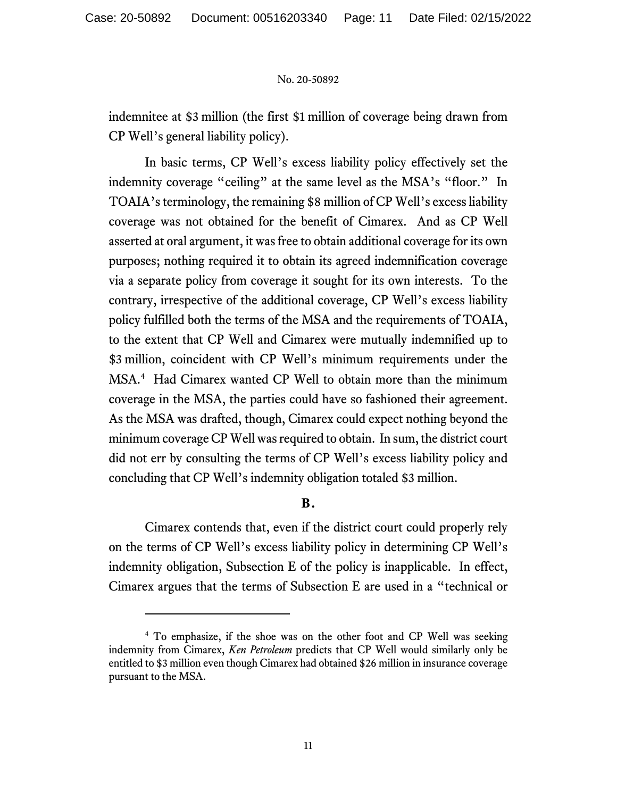indemnitee at \$3 million (the first \$1 million of coverage being drawn from CP Well's general liability policy).

In basic terms, CP Well's excess liability policy effectively set the indemnity coverage "ceiling" at the same level as the MSA's "floor." In TOAIA's terminology, the remaining \$8 million of CP Well's excess liability coverage was not obtained for the benefit of Cimarex. And as CP Well asserted at oral argument, it was free to obtain additional coverage for its own purposes; nothing required it to obtain its agreed indemnification coverage via a separate policy from coverage it sought for its own interests. To the contrary, irrespective of the additional coverage, CP Well's excess liability policy fulfilled both the terms of the MSA and the requirements of TOAIA, to the extent that CP Well and Cimarex were mutually indemnified up to \$3 million, coincident with CP Well's minimum requirements under the MSA.4 Had Cimarex wanted CP Well to obtain more than the minimum coverage in the MSA, the parties could have so fashioned their agreement. As the MSA was drafted, though, Cimarex could expect nothing beyond the minimum coverage CP Well was required to obtain. In sum, the district court did not err by consulting the terms of CP Well's excess liability policy and concluding that CP Well's indemnity obligation totaled \$3 million.

# **B.**

Cimarex contends that, even if the district court could properly rely on the terms of CP Well's excess liability policy in determining CP Well's indemnity obligation, Subsection E of the policy is inapplicable. In effect, Cimarex argues that the terms of Subsection E are used in a "technical or

<sup>&</sup>lt;sup>4</sup> To emphasize, if the shoe was on the other foot and CP Well was seeking indemnity from Cimarex, *Ken Petroleum* predicts that CP Well would similarly only be entitled to \$3 million even though Cimarex had obtained \$26 million in insurance coverage pursuant to the MSA.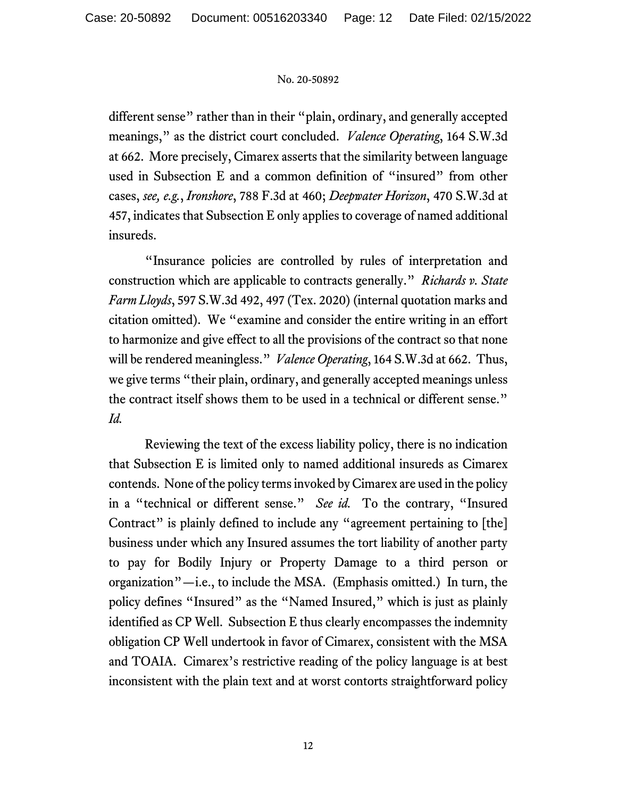different sense" rather than in their "plain, ordinary, and generally accepted meanings," as the district court concluded. *Valence Operating*, 164 S.W.3d at 662. More precisely, Cimarex asserts that the similarity between language used in Subsection E and a common definition of "insured" from other cases, *see, e.g.*, *Ironshore*, 788 F.3d at 460; *Deepwater Horizon*, 470 S.W.3d at 457, indicates that Subsection E only applies to coverage of named additional insureds.

"Insurance policies are controlled by rules of interpretation and construction which are applicable to contracts generally." *Richards v. State Farm Lloyds*, 597 S.W.3d 492, 497 (Tex. 2020) (internal quotation marks and citation omitted). We "examine and consider the entire writing in an effort to harmonize and give effect to all the provisions of the contract so that none will be rendered meaningless." *Valence Operating*, 164 S.W.3d at 662. Thus, we give terms "their plain, ordinary, and generally accepted meanings unless the contract itself shows them to be used in a technical or different sense." *Id.*

Reviewing the text of the excess liability policy, there is no indication that Subsection E is limited only to named additional insureds as Cimarex contends. None of the policy terms invoked by Cimarex are used in the policy in a "technical or different sense." *See id.* To the contrary, "Insured Contract" is plainly defined to include any "agreement pertaining to [the] business under which any Insured assumes the tort liability of another party to pay for Bodily Injury or Property Damage to a third person or organization"—i.e., to include the MSA. (Emphasis omitted.) In turn, the policy defines "Insured" as the "Named Insured," which is just as plainly identified as CP Well. Subsection E thus clearly encompasses the indemnity obligation CP Well undertook in favor of Cimarex, consistent with the MSA and TOAIA. Cimarex's restrictive reading of the policy language is at best inconsistent with the plain text and at worst contorts straightforward policy